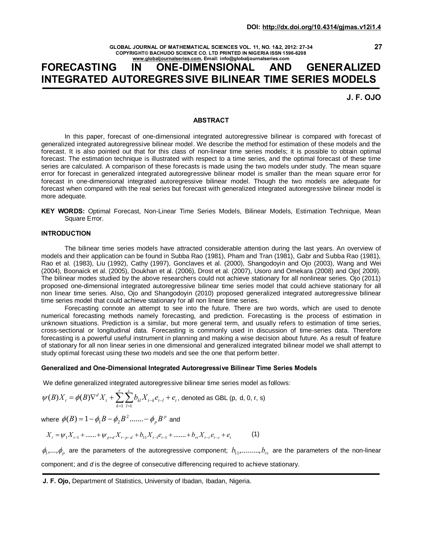**GLOBAL JOURNAL OF MATHEMATICAL SCIENCES VOL. 11, NO. 1&2, 2012: 27-34 COPYRIGHT© BACHUDO SCIENCE CO. LTD PRINTED IN NIGERIA ISSN 1596-6208 www.globaljournalseries.com, Email: info@globaljournalseries.com**

# **FORECASTING IN ONE-DIMENSIONAL AND GENERALIZED INTEGRATED AUTOREGRESSIVE BILINEAR TIME SERIES MODELS**

**J. F. OJO**

**27**

## **ABSTRACT**

In this paper, forecast of one-dimensional integrated autoregressive bilinear is compared with forecast of generalized integrated autoregressive bilinear model. We describe the method for estimation of these models and the forecast. It is also pointed out that for this class of non-linear time series models; it is possible to obtain optimal forecast. The estimation technique is illustrated with respect to a time series, and the optimal forecast of these time series are calculated. A comparison of these forecasts is made using the two models under study. The mean square error for forecast in generalized integrated autoregressive bilinear model is smaller than the mean square error for forecast in one-dimensional integrated autoregressive bilinear model. Though the two models are adequate for forecast when compared with the real series but forecast with generalized integrated autoregressive bilinear model is more adequate.

**KEY WORDS:** Optimal Forecast, Non-Linear Time Series Models, Bilinear Models, Estimation Technique, Mean Square Error.

## **INTRODUCTION**

The bilinear time series models have attracted considerable attention during the last years. An overview of models and their application can be found in Subba Rao (1981), Pham and Tran (1981), Gabr and Subba Rao (1981), Rao et al. (1983), Liu (1992), Cathy (1997), Gonclaves et al. (2000), Shangodoyin and Ojo (2003), Wang and Wei (2004), Boonaick et al. (2005), Doukhan et al. (2006), Drost et al. (2007), Usoro and Omekara (2008) and Ojo( 2009). The bilinear modes studied by the above researchers could not achieve stationary for all nonlinear series. Ojo (2011) proposed one-dimensional integrated autoregressive bilinear time series model that could achieve stationary for all non linear time series. Also, Ojo and Shangodoyin (2010) proposed generalized integrated autoregressive bilinear time series model that could achieve stationary for all non linear time series.

Forecasting connote an attempt to see into the future. There are two words, which are used to denote numerical forecasting methods namely forecasting, and prediction. Forecasting is the process of estimation in unknown situations. Prediction is a similar, but more general term, and usually refers to estimation of time series, cross-sectional or longitudinal data. Forecasting is commonly used in discussion of time-series data. Therefore forecasting is a powerful useful instrument in planning and making a wise decision about future. As a result of feature of stationary for all non linear series in one dimensional and generalized integrated bilinear model we shall attempt to study optimal forecast using these two models and see the one that perform better.

#### **Generalized and One-Dimensional Integrated Autoregressive Bilinear Time Series Models**

We define generalized integrated autoregressive bilinear time series model as follows:

$$
\psi(B)X_{t} = \phi(B)\nabla^{d} X_{t} + \sum_{k=1}^{r} \sum_{l=1}^{s} b_{kl} X_{t-k} e_{t-l} + e_{t}, \text{ denoted as GBL (p, d, 0, r, s)}
$$

where  $\phi(B)$  =  $1-\phi^{}_{1}B-\phi^{}_{2}B^{\,2}$  ....... –  $\phi^{}_{p}B^{\,p}$  and

$$
X_{t} = \psi_{1} X_{t-1} + \dots + \psi_{p+d} X_{t-p-d} + b_{11} X_{t-1} e_{t-1} + \dots + b_{rs} X_{t-r} e_{t-s} + e_{t}
$$
 (1)

 $\phi_1,...,\phi_n$  are the parameters of the autoregressive component;  $b_1,......,b_r$  are the parameters of the non-linear component; and *d* is the degree of consecutive differencing required to achieve stationary.

**J. F. Ojo,** Department of Statistics, University of Ibadan, Ibadan, Nigeria.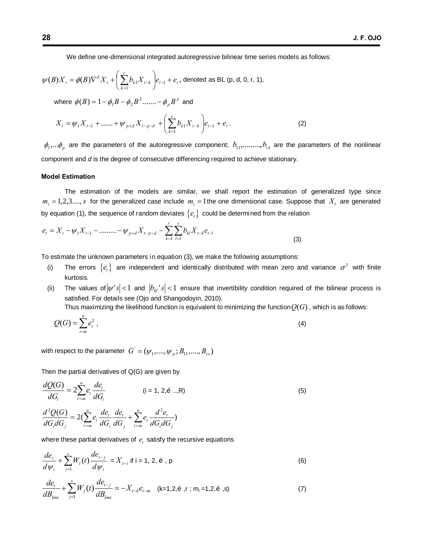We define one-dimensional integrated autoregressive bilinear time series models as follows:

$$
\psi(B)X_{t} = \phi(B)\nabla^{d} X_{t} + \left(\sum_{k=1}^{r} b_{k1} X_{t-k}\right) e_{t-1} + e_{t},
$$
 denoted as BL (p, d, 0, r, 1),

where  $\phi(B) = 1 - \phi \nvert_{1} B - \phi \nvert_{2} B^{2} \ldots \ldots - \phi \nvert_{p} B^{p}$  and

$$
X_{t} = \psi_{1} X_{t-1} + \dots + \psi_{p+d} X_{t-p-d} + \left(\sum_{k=1}^{r} b_{k} X_{t-k}\right) e_{t-1} + e_{t}.
$$
 (2)

 $\phi_1,...\phi_p$  are the parameters of the autoregressive component;  $b_{11},......, b_{r1}$  are the parameters of the nonlinear component and *d* is the degree of consecutive differencing required to achieve stationary.

#### **Model Estimation**

The estimation of the models are similar, we shall report the estimation of generalized type since  $m_i = 1,2,3,..., s$  for the generalized case include  $m_i = 1$  the one dimensional case. Suppose that  $X_t$  are generated by equation (1), the sequence of random deviates  ${e_t}$  could be determined from the relation

$$
e_{t} = X_{t} - \psi_{1} X_{t-1} - \dots + \psi_{p+d} X_{t-p-d} - \sum_{k=1}^{r} \sum_{l=1}^{s} b_{kl} X_{t-k} e_{t-l}
$$
\n(3)

To estimate the unknown parameters in equation (3), we make the following assumptions:

- (i) The errors  $\{e_i\}$  are independent and identically distributed with mean zero and variance  $\sigma^2$  with finite kurtosis.
- (ii) The values of  $|\psi' s| < 1$  and  $|b_{ki} s| < 1$  ensure that invertibility condition required of the bilinear process is satisfied. For details see (Ojo and Shangodoyin, 2010). Thus maximizing the likelihood function is equivalent to minimizing the function  $Q(G)$ , which is as follows:

$$
Q(G) = \sum_{i=m}^{n} e_i^2 \tag{4}
$$

with respect to the parameter  $\ G^{'}=({\psi}_1,....,{\psi}_p\,;B_{11},....,B_{rs})$ 

Then the partial derivatives of Q(G) are given by

$$
\frac{dQ(G)}{dG_i} = 2\sum_{t=m}^{n} e_t \frac{de_t}{dG_i} \qquad (i = 1, 2, \tilde{\sigma} ..., R)
$$
 (5)

$$
\frac{d^2Q(G)}{dG_i dG_j} = 2(\sum_{t=m}^{n} e_t \frac{de_t}{dG_i} \frac{de_t}{dG_j} + \sum_{t=m}^{n} e_t \frac{d^2e_t}{dG_i dG_j})
$$

where these partial derivatives of  $e_t$  satisfy the recursive equations

$$
\frac{de_{t}}{d\psi_{i}} + \sum_{j=1}^{s} W_{t}(t) \frac{de_{t-j}}{d\psi_{i}} = X_{t-i} \text{ if } i = 1, 2, \delta, p
$$
\n(6)

$$
\frac{de_t}{dB_{kmi}} + \sum_{j=1}^{s} W_j(t) \frac{de_{t-j}}{dB_{kmi}} = -X_{t-k}e_{t-m} \quad \text{(k=1,2,5,1; m_i=1,2,5,5)} \tag{7}
$$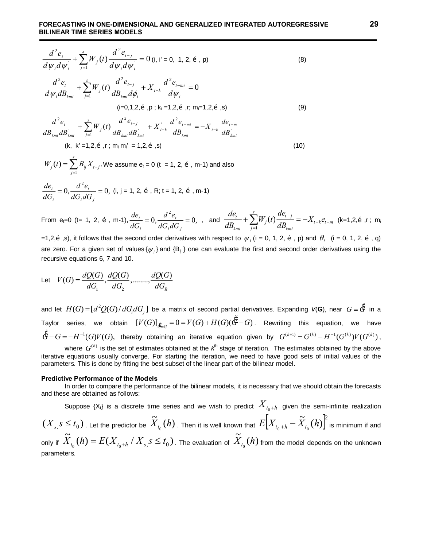$$
\frac{d^2e_t}{d\psi_i d\psi_i} + \sum_{j=1}^s W_j(t) \frac{d^2e_{t-j}}{d\psi_i d\psi_i} = 0 \text{ (i, i'} = 0, 1, 2, \tilde{\sigma}, \text{ p)}
$$
\n
$$
\frac{d^2e_t}{d\psi_i dB_{kmi}} + \sum_{j=1}^s W_j(t) \frac{d^2e_{t-j}}{dB_{kmi} d\phi_i} + X_{t-k} \frac{d^2e_{t-mi}}{d\psi_i} = 0
$$
\n
$$
\text{(i=0,1,2,\tilde{\sigma}, \text{ p}; k_i=1,2,\tilde{\sigma}, \text{ r; m=1,2,\tilde{\sigma}, \text{s})}
$$
\n
$$
\text{(9)}
$$

$$
\frac{d^2e_t}{dB_{kmi}dB_{kmi}} + \sum_{j=1}^s W_j(t) \frac{d^2e_{t-j}}{dB_{kmi}dB_{kmi}} + X_{t-k} \frac{d^2e_{t-mi}}{dB_{kmi}} = -X_{t-k} \frac{de_{t-m}}{dB_{kmi}}
$$
\n(k, k'=1,2,5, r; m<sub>i</sub> m'<sub>i</sub> = 1,2,5, s) (10)

$$
W_j(t) = \sum_{j=1}^{s} B_{ij} X_{t-j}
$$
. We assume  $e_t = 0$  (t = 1, 2, 0, m-1) and also

$$
\frac{de_i}{dG_i} = 0, \frac{d^2e_i}{dG_i dG_j} = 0, (i, j = 1, 2, \tilde{\sigma}, R; t = 1, 2, \tilde{\sigma}, m-1)
$$

From e<sub>t</sub>=0 (t= 1, 2,  $\tilde{\text{o}}$ , m-1),  $\frac{ac_i}{\tilde{\text{e}}}} = 0$ ,  $\frac{a}{\tilde{\text{e}}}} = 0$ , 2  $= 0, \frac{u}{15} =$  $i^{\boldsymbol{u}\boldsymbol{\cup}}$  *j t i t dG dG*  $d^2e$  $\frac{de_i}{dG_i} = 0$ ,  $\frac{d^2e_i}{dG_i dG_j} = 0$ , and  $\frac{de_i}{dB_{kmi}} + \sum_{j=1}^{s} W_j(t) \frac{de_{i-j}}{dB_{kmi}} = -X_{i-k}e_{i-m}$ *kmi*  $\sum_{I}^{s} d e_{t-j}$ *j j kmi*  $\frac{t}{t}$  +  $\sum W_i(t) \frac{dE_{t-j}}{dt} = -X_{t-k}e^{-t}$ *dB de*  $W_i(t)$ *dB de*  $-k$  $\mathbf{c}_{t-}$ -  $+\sum_{j=1} W_j(t) \frac{d e_{t-j}}{d B_{kmi}} = -X_{t-k} e_{t-m}$  (k=1,2,õ ,r ; m<sub>i</sub>

=1,2, $\tilde{\sigma}$ , s), it follows that the second order derivatives with respect to  $\psi_i$  (i = 0, 1, 2,  $\tilde{\sigma}$ , p) and  $\theta_i$  (i = 0, 1, 2,  $\tilde{\sigma}$ , q) are zero. For a given set of values  $\{\psi_i\}$  and  $\{B_{ii}\}$  one can evaluate the first and second order derivatives using the recursive equations 6, 7 and 10.

Let 
$$
V(G) = \frac{dQ(G)}{dG_1}, \frac{dQ(G)}{dG_2}, \dots, \frac{dQ(G)}{dG_R}
$$

and let  $H(G)$  = [ $d^2Q(G)/dG_i dG_j$ ] be a matrix of second partial derivatives. Expanding V(G), near  $G$  =  $\H G$  in a Taylor series, we obtain  $[V(G)]_{\sigma = G} = 0 = V(G) + H(G)(\ddot{G} - G)$ . Rewriting this equation, we have  $\ddot{G}-G=-H^{-1}(G)V(G)$ , thereby obtaining an iterative equation given by  $G^{(k+1)}=G^{(k)}-H^{-1}(G^{(k)})V(G^{(k)})$ ,

where  $G^{(k)}$  is the set of estimates obtained at the  $k^{\text{th}}$  stage of iteration. The estimates obtained by the above iterative equations usually converge. For starting the iteration, we need to have good sets of initial values of the parameters. This is done by fitting the best subset of the linear part of the bilinear model.

#### **Predictive Performance of the Models**

In order to compare the performance of the bilinear models, it is necessary that we should obtain the forecasts and these are obtained as follows:

Suppose  $\{X_t\}$  is a discrete time series and we wish to predict  $X_{t_0+h}$  given the semi-infinite realization  $(X_{s,} s \leq t_0)$  . Let the predictor be  $\widetilde{X}_{t_0}(h)$  . Then it is well known that  $E\Bigl[X_{t_0+h}-\widetilde{X}_{t_0}(h)\Bigr]^2$  is minimum if and only if  $\widetilde{X}_{t_0}(h)$  =  $E(X_{t_0+h} / X_{s,} S \leq t_0)$  . The evaluation of  $\widetilde{X}_{t_0}(h)$  from the model depends on the unknown parameters.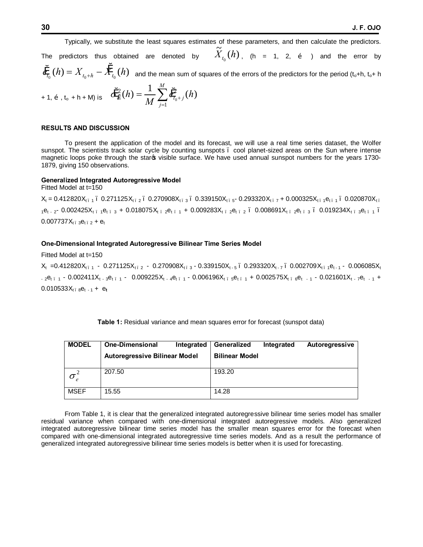Typically, we substitute the least squares estimates of these parameters, and then calculate the predictors. The predictors thus obtained are denoted by  $\widetilde{X}_{t_0}(h)$ , (h = 1, 2,  $\tilde{0}$  ) and the error by  $\mathcal{E}_{t_0} (h) = X_{t_0+h} - \mathcal{X}_{t_0}(h)$  and the mean sum of squares of the errors of the predictors for the period (t<sub>o</sub>+h, t<sub>o</sub>+ h + 1, õ , t<sub>o</sub> + h + M) is  $\dot{\sigma}_{\ell}^{2}(h) = \frac{1}{M} \sum_{j=1}^{\ell} \dot{e}_{t_{0}+}^{2}$ *M*  $e^2_e(h) = \frac{1}{M} \sum e^2_{t_0+1}(h)$ *M h*  $\mathcal{E}_{\breve{e}}^{2}(h) = \frac{1}{M} \sum_{i=1}^{M} \breve{e}_{t_{0}+j}^{2}(h)$ 

#### **RESULTS AND DISCUSSION**

To present the application of the model and its forecast, we will use a real time series dataset, the Wolfer sunspot. The scientists track solar cycle by counting sunspots – cool planet-sized areas on the Sun where intense magnetic loops poke through the staros visible surface. We have used annual sunspot numbers for the years 1730-1879, giving 150 observations.

#### **Generalized Integrated Autoregressive Model**

Fitted Model at t=150

 $X_t = 0.412820X_{t-1}$ .  $0.271125X_{t-2}$ .  $0.270908X_{t-3}$ .  $0.339150X_{t-5}$ .  $0.293320X_{t-7}$  + 0.000325 $X_{t-1}$ et 1. 0.020870 $X_{t-1}$  $1e_{t-2}$  0.002425X<sub>t 1</sub>e<sub>t 3</sub> + 0.018075X<sub>t 2</sub>e<sub>t 1</sub> + 0.009283X<sub>t 2</sub>e<sub>t 2</sub> 0.008691X<sub>t 2</sub>e<sub>t 3</sub> 0.019234X<sub>t</sub> 3et 1 –  $0.007737X_{t-3}e_{t-2} + e_{t}$ 

#### **One-Dimensional Integrated Autoregressive Bilinear Time Series Model**

*j*

1

Fitted Model at t=150

 $X_{t}$  =0.412820 $X_{t}$  - 0.271125 $X_{t}$  - 0.270908 $X_{t}$  <sub>3</sub> - 0.339150 $X_{t}$  - 5  $\cdot$  0.293320 $X_{t}$  -7  $\cdot$  0.002709 $X_{t}$  -1  $\cdot$  0.006085 $X_{t}$  $-$  2e<sub>t – 1</sub> - 0.002411X<sub>t - 3</sub>e<sub>t – 1</sub> - 0.009225X<sub>t – 4</sub>e<sub>t – 1</sub> - 0.006196X<sub>t – 5</sub>e<sub>t – 1</sub> + 0.002575X<sub>t – 6</sub>e<sub>t – 1</sub> - 0.021601X<sub>t – 7</sub>e<sub>t – 1</sub> +  $0.010533X_{t.8}e_{t-1}$  +  $e_{t}$ 

| Table 1: Residual variance and mean squares error for forecast (sunspot data) |  |  |
|-------------------------------------------------------------------------------|--|--|
|-------------------------------------------------------------------------------|--|--|

| <b>MODEL</b> | <b>One-Dimensional</b><br>Integrated | Generalized           | Integrated | Autoregressive |
|--------------|--------------------------------------|-----------------------|------------|----------------|
|              | Autoregressive Bilinear Model        | <b>Bilinear Model</b> |            |                |
|              |                                      |                       |            |                |
| $\sigma$     | 207.50                               | 193.20                |            |                |
|              |                                      |                       |            |                |
| <b>MSEF</b>  | 15.55                                | 14.28                 |            |                |
|              |                                      |                       |            |                |

From Table 1, it is clear that the generalized integrated autoregressive bilinear time series model has smaller residual variance when compared with one-dimensional integrated autoregressive models. Also generalized integrated autoregressive bilinear time series model has the smaller mean squares error for the forecast when compared with one-dimensional integrated autoregressive time series models. And as a result the performance of generalized integrated autoregressive bilinear time series models is better when it is used for forecasting.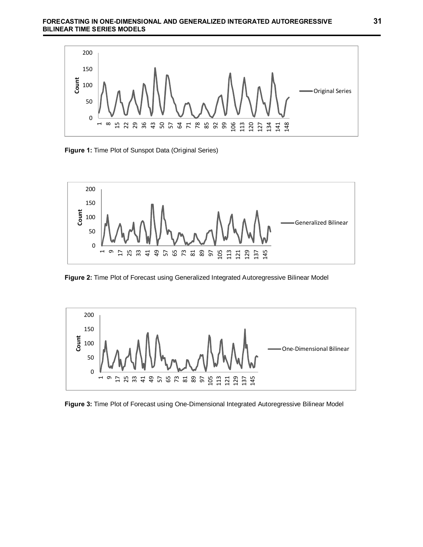

**Figure 1:** Time Plot of Sunspot Data (Original Series)



**Figure 2:** Time Plot of Forecast using Generalized Integrated Autoregressive Bilinear Model



**Figure 3:** Time Plot of Forecast using One-Dimensional Integrated Autoregressive Bilinear Model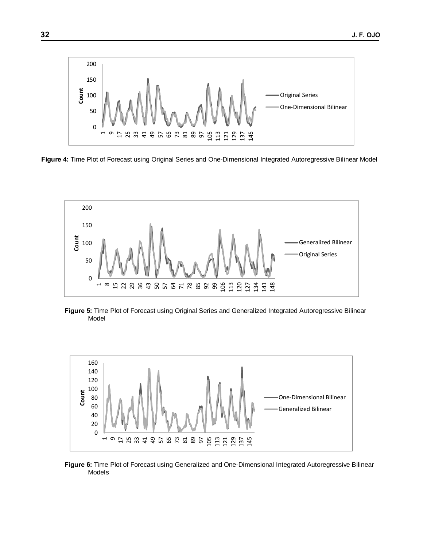

**Figure 4:** Time Plot of Forecast using Original Series and One-Dimensional Integrated Autoregressive Bilinear Model



**Figure 5:** Time Plot of Forecast using Original Series and Generalized Integrated Autoregressive Bilinear Model



**Figure 6:** Time Plot of Forecast using Generalized and One-Dimensional Integrated Autoregressive Bilinear Models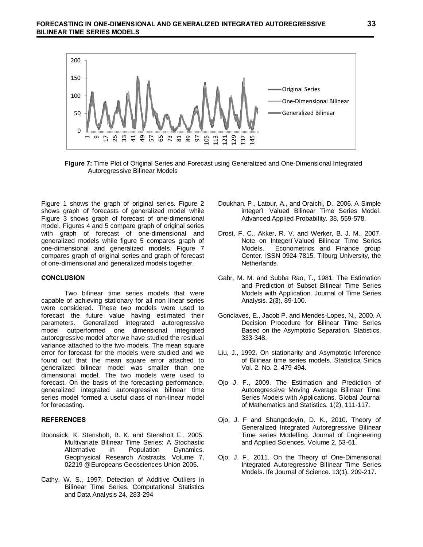

**Figure 7:** Time Plot of Original Series and Forecast using Generalized and One-Dimensional Integrated Autoregressive Bilinear Models

Figure 1 shows the graph of original series. Figure 2 shows graph of forecasts of generalized model while Figure 3 shows graph of forecast of one-dimensional model. Figures 4 and 5 compare graph of original series with graph of forecast of one-dimensional and generalized models while figure 5 compares graph of one-dimensional and generalized models. Figure 7 compares graph of original series and graph of forecast of one-dimensional and generalized models together.

## **CONCLUSION**

Two bilinear time series models that were capable of achieving stationary for all non linear series were considered. These two models were used to forecast the future value having estimated their parameters. Generalized integrated autoregressive model outperformed one dimensional integrated autoregressive model after we have studied the residual variance attached to the two models. The mean square error for forecast for the models were studied and we found out that the mean square error attached to generalized bilinear model was smaller than one dimensional model. The two models were used to forecast. On the basis of the forecasting performance, generalized integrated autoregressive bilinear time series model formed a useful class of non-linear model for forecasting.

#### **REFERENCES**

- Boonaick, K. Stensholt, B. K. and Stensholt E., 2005. Multivariate Bilinear Time Series: A Stochastic Alternative in Population Dynamics. Geophysical Research Abstracts*.* Volume 7, 02219 @Europeans Geosciences Union 2005.
- Cathy, W. S., 1997. Detection of Additive Outliers in Bilinear Time Series. Computational Statistics and Data Analysis 24, 283-294
- Doukhan, P., Latour, A., and Oraichi, D., 2006. A Simple integer. Valued Bilinear Time Series Model. Advanced Applied Probability*.* 38, 559-578.
- Drost, F. C., Akker, R. V. and Werker, B. J. M., 2007. Note on Integer. Valued Bilinear Time Series Models. Econometrics and Finance group Center. ISSN 0924-7815, Tilburg University, the Netherlands.
- Gabr, M. M. and Subba Rao, T., 1981. The Estimation and Prediction of Subset Bilinear Time Series Models with Application. Journal of Time Series Analysis*.* 2(3), 89-100.
- Gonclaves, E., Jacob P. and Mendes-Lopes, N., 2000. A Decision Procedure for Bilinear Time Series Based on the Asymptotic Separation. Statistics, 333-348.
- Liu, J., 1992. On stationarity and Asymptotic Inference of Bilinear time series models. Statistica Sinica Vol*.* 2. No. 2*.* 479-494.
- Ojo J. F., 2009. The Estimation and Prediction of Autoregressive Moving Average Bilinear Time Series Models with Applications. Global Journal of Mathematics and Statistics. 1(2), 111-117.
- Ojo, J. F and Shangodoyin, D. K., 2010. Theory of Generalized Integrated Autoregressive Bilinear Time series Modelling. Journal of Engineering and Applied Sciences*.* Volume 2, 53-61.
- Ojo, J. F., 2011. On the Theory of One-Dimensional Integrated Autoregressive Bilinear Time Series Models. Ife Journal of Science. 13(1), 209-217.